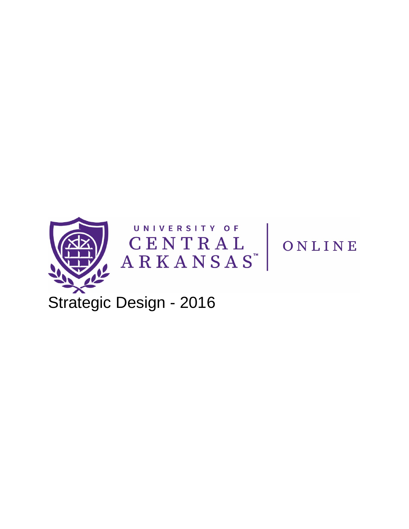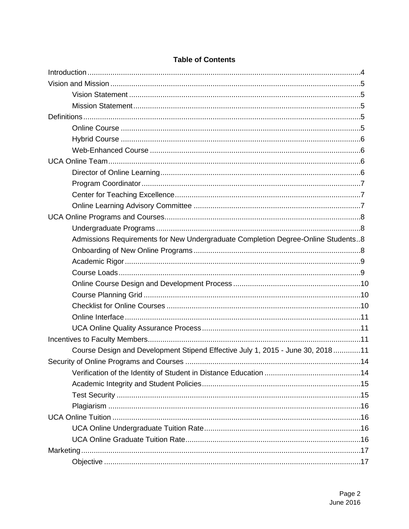| Admissions Requirements for New Undergraduate Completion Degree-Online Students8 |  |
|----------------------------------------------------------------------------------|--|
|                                                                                  |  |
|                                                                                  |  |
|                                                                                  |  |
|                                                                                  |  |
|                                                                                  |  |
|                                                                                  |  |
|                                                                                  |  |
|                                                                                  |  |
|                                                                                  |  |
| Course Design and Development Stipend Effective July 1, 2015 - June 30, 201811   |  |
|                                                                                  |  |
|                                                                                  |  |
|                                                                                  |  |
|                                                                                  |  |
|                                                                                  |  |
|                                                                                  |  |
|                                                                                  |  |
|                                                                                  |  |
|                                                                                  |  |
|                                                                                  |  |

## **Table of Contents**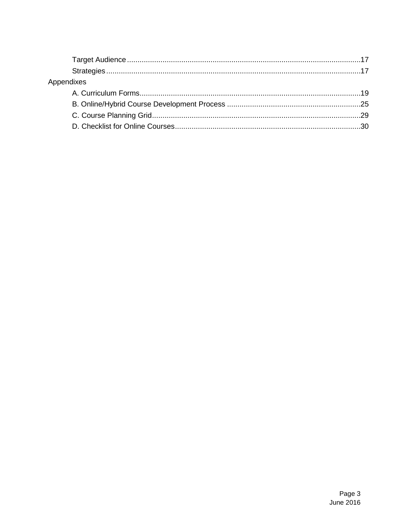| Appendixes |  |
|------------|--|
|            |  |
|            |  |
|            |  |
|            |  |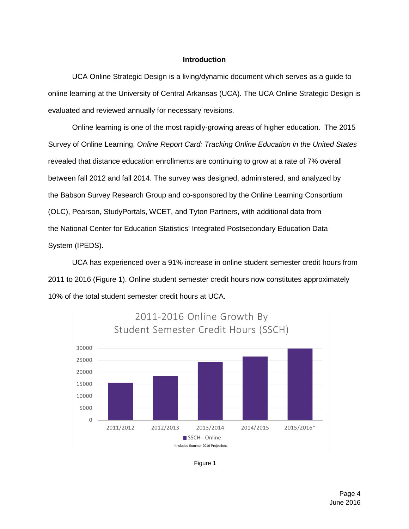## **Introduction**

<span id="page-3-0"></span>UCA Online Strategic Design is a living/dynamic document which serves as a guide to online learning at the University of Central Arkansas (UCA). The UCA Online Strategic Design is evaluated and reviewed annually for necessary revisions.

Online learning is one of the most rapidly-growing areas of higher education. The 2015 Survey of Online Learning, *Online Report Card: Tracking Online Education in the United States* revealed that distance education enrollments are continuing to grow at a rate of 7% overall between fall 2012 and fall 2014. The survey was designed, administered, and analyzed by the [Babson Survey Research Group](http://www.babson.edu/Academics/faculty/provost/Pages/babson-survey-research-group.aspx) and co-sponsored by the Online Learning Consortium (OLC), Pearson, StudyPortals, WCET, and Tyton Partners, with additional data from the [National Center for Education Statistics' Integrated Postsecondary Education Data](http://nces.ed.gov/ipeds)  [System](http://nces.ed.gov/ipeds) (IPEDS).

UCA has experienced over a 91% increase in online student semester credit hours from 2011 to 2016 (Figure 1). Online student semester credit hours now [constitutes](http://www.thesaurus.net/constitutes) approximately 10% of the total student semester credit hours at UCA.



Figure 1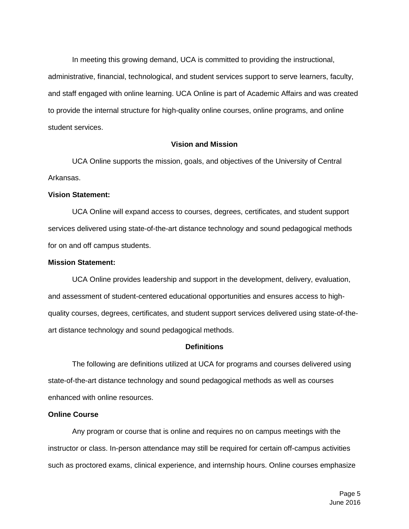In meeting this growing demand, UCA is committed to providing the instructional, administrative, financial, technological, and student services support to serve learners, faculty, and staff engaged with online learning. UCA Online is part of Academic Affairs and was created to provide the internal structure for high-quality online courses, online programs, and online student services.

## <span id="page-4-2"></span>**Vision and Mission**

<span id="page-4-0"></span>UCA Online supports the mission, goals, and objectives of the University of Central Arkansas.

## <span id="page-4-1"></span>**Vision Statement:**

UCA Online will expand access to courses, degrees, certificates, and student support services delivered using state-of-the-art distance technology and sound pedagogical methods for on and off campus students.

## **Mission Statement:**

UCA Online provides leadership and support in the development, delivery, evaluation, and assessment of student-centered educational opportunities and ensures access to highquality courses, degrees, certificates, and student support services delivered using state-of-theart distance technology and sound pedagogical methods.

#### **Definitions**

The following are definitions utilized at UCA for programs and courses delivered using state-of-the-art distance technology and sound pedagogical methods as well as courses enhanced with online resources.

#### <span id="page-4-3"></span>**Online Course**

Any program or course that is online and requires no on campus meetings with the instructor or class. In-person attendance may still be required for certain off-campus activities such as proctored exams, clinical experience, and internship hours. Online courses emphasize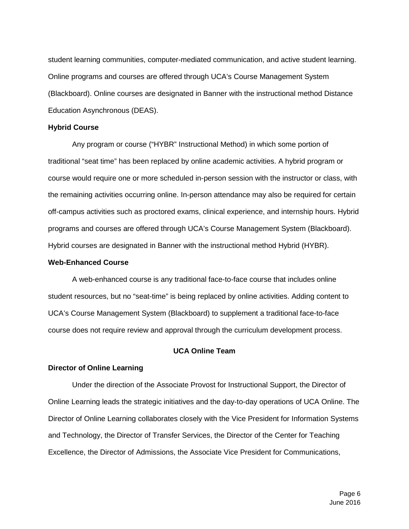student learning communities, computer-mediated communication, and active student learning. Online programs and courses are offered through UCA's Course Management System (Blackboard). Online courses are designated in Banner with the instructional method Distance Education Asynchronous (DEAS).

#### <span id="page-5-0"></span>**Hybrid Course**

Any program or course ("HYBR" Instructional Method) in which some portion of traditional "seat time" has been replaced by online academic activities. A hybrid program or course would require one or more scheduled in-person session with the instructor or class, with the remaining activities occurring online. In-person attendance may also be required for certain off-campus activities such as proctored exams, clinical experience, and internship hours. Hybrid programs and courses are offered through UCA's Course Management System (Blackboard). Hybrid courses are designated in Banner with the instructional method Hybrid (HYBR).

#### <span id="page-5-1"></span>**Web-Enhanced Course**

A web-enhanced course is any traditional face-to-face course that includes online student resources, but no "seat-time" is being replaced by online activities. Adding content to UCA's Course Management System (Blackboard) to supplement a traditional face-to-face course does not require review and approval through the curriculum development process.

#### **UCA Online Team**

#### <span id="page-5-3"></span><span id="page-5-2"></span>**Director of Online Learning**

Under the direction of the Associate Provost for Instructional Support, the Director of Online Learning leads the strategic initiatives and the day-to-day operations of UCA Online. The Director of Online Learning collaborates closely with the Vice President for Information Systems and Technology, the Director of Transfer Services, the Director of the Center for Teaching Excellence, the Director of Admissions, the Associate Vice President for Communications,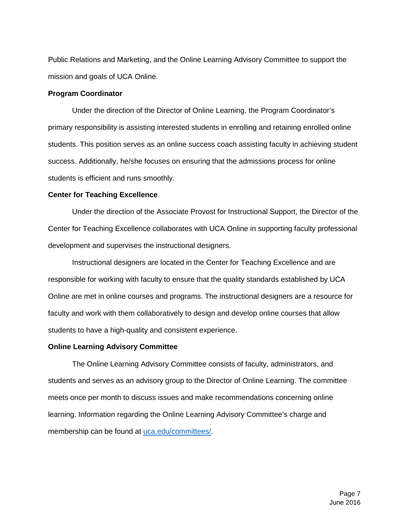Public Relations and Marketing, and the Online Learning Advisory Committee to support the mission and goals of UCA Online.

#### <span id="page-6-0"></span>**Program Coordinator**

Under the direction of the Director of Online Learning, the Program Coordinator's primary responsibility is assisting interested students in enrolling and retaining enrolled online students. This position serves as an online success coach assisting faculty in achieving student success. Additionally, he/she focuses on ensuring that the admissions process for online students is efficient and runs smoothly.

#### <span id="page-6-1"></span>**Center for Teaching Excellence**

Under the direction of the Associate Provost for Instructional Support, the Director of the Center for Teaching Excellence collaborates with UCA Online in supporting faculty professional development and supervises the instructional designers.

Instructional designers are located in the Center for Teaching Excellence and are responsible for working with faculty to ensure that the quality standards established by UCA Online are met in online courses and programs. The instructional designers are a resource for faculty and work with them collaboratively to design and develop online courses that allow students to have a high-quality and consistent experience.

#### <span id="page-6-2"></span>**Online Learning Advisory Committee**

<span id="page-6-3"></span>The Online Learning Advisory Committee consists of faculty, administrators, and students and serves as an advisory group to the Director of Online Learning. The committee meets once per month to discuss issues and make recommendations concerning online learning. Information regarding the Online Learning Advisory Committee's charge and membership can be found at [uca.edu/committees/.](http://uca.edu/committees/)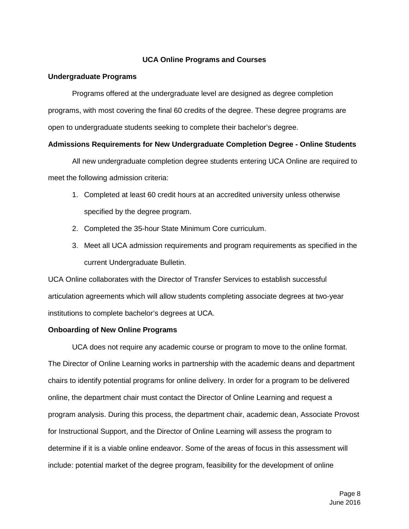## **UCA Online Programs and Courses**

#### <span id="page-7-0"></span>**Undergraduate Programs**

Programs offered at the undergraduate level are designed as degree completion programs, with most covering the final 60 credits of the degree. These degree programs are open to undergraduate students seeking to complete their bachelor's degree.

#### <span id="page-7-1"></span>**Admissions Requirements for New Undergraduate Completion Degree - Online Students**

All new undergraduate completion degree students entering UCA Online are required to meet the following admission criteria:

- 1. Completed at least 60 credit hours at an accredited university unless otherwise specified by the degree program.
- 2. Completed the 35-hour State Minimum Core curriculum.
- <span id="page-7-2"></span>3. Meet all UCA admission requirements and program requirements as specified in the current Undergraduate Bulletin.

UCA Online collaborates with the Director of Transfer Services to establish successful articulation agreements which will allow students completing associate degrees at two-year institutions to complete bachelor's degrees at UCA.

## **Onboarding of New Online Programs**

UCA does not require any academic course or program to move to the online format. The Director of Online Learning works in partnership with the academic deans and department chairs to identify potential programs for online delivery. In order for a program to be delivered online, the department chair must contact the Director of Online Learning and request a program analysis. During this process, the department chair, academic dean, Associate Provost for Instructional Support, and the Director of Online Learning will assess the program to determine if it is a viable online endeavor. Some of the areas of focus in this assessment will include: potential market of the degree program, feasibility for the development of online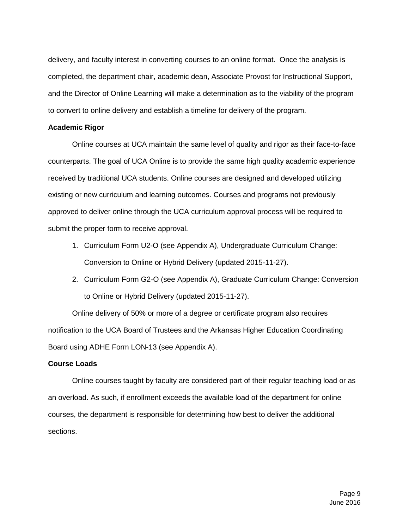delivery, and faculty interest in converting courses to an online format. Once the analysis is completed, the department chair, academic dean, Associate Provost for Instructional Support, and the Director of Online Learning will make a determination as to the viability of the program to convert to online delivery and establish a timeline for delivery of the program.

#### <span id="page-8-0"></span>**Academic Rigor**

Online courses at UCA maintain the same level of quality and rigor as their face-to-face counterparts. The goal of UCA Online is to provide the same high quality academic experience received by traditional UCA students. Online courses are designed and developed utilizing existing or new curriculum and learning outcomes. Courses and programs not previously approved to deliver online through the UCA curriculum approval process will be required to submit the proper form to receive approval.

- 1. Curriculum Form U2-O (see [Appendix A\)](#page-18-0), Undergraduate Curriculum Change: Conversion to Online or Hybrid Delivery (updated 2015-11-27).
- 2. Curriculum Form G2-O (see [Appendix A\)](#page-18-0), Graduate Curriculum Change: Conversion to Online or Hybrid Delivery (updated 2015-11-27).

Online delivery of 50% or more of a degree or certificate program also requires notification to the UCA Board of Trustees and the Arkansas Higher Education Coordinating Board using ADHE Form LON-13 (see [Appendix A\)](#page-18-0).

#### <span id="page-8-1"></span>**Course Loads**

Online courses taught by faculty are considered part of their regular teaching load or as an overload. As such, if enrollment exceeds the available load of the department for online courses, the department is responsible for determining how best to deliver the additional sections.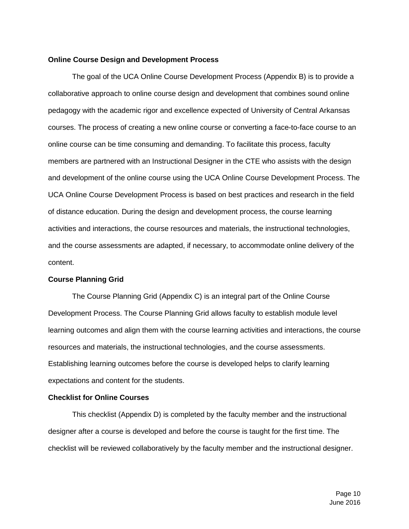#### <span id="page-9-0"></span>**Online Course Design and Development Process**

The goal of the UCA Online Course Development Process (Appendix B) is to provide a collaborative approach to online course design and development that combines sound online pedagogy with the academic rigor and excellence expected of University of Central Arkansas courses. The process of creating a new online course or converting a face-to-face course to an online course can be time consuming and demanding. To facilitate this process, faculty members are partnered with an Instructional Designer in the CTE who assists with the design and development of the online course using the UCA Online Course Development Process. The UCA Online Course Development Process is based on best practices and research in the field of distance education. During the design and development process, the course learning activities and interactions, the course resources and materials, the instructional technologies, and the course assessments are adapted, if necessary, to accommodate online delivery of the content.

## <span id="page-9-1"></span>**Course Planning Grid**

The Course Planning Grid (Appendix C) is an integral part of the Online Course Development Process. The Course Planning Grid allows faculty to establish module level learning outcomes and align them with the course learning activities and interactions, the course resources and materials, the instructional technologies, and the course assessments. Establishing learning outcomes before the course is developed helps to clarify learning expectations and content for the students.

## <span id="page-9-2"></span>**Checklist for Online Courses**

This checklist (Appendix D) is completed by the faculty member and the instructional designer after a course is developed and before the course is taught for the first time. The checklist will be reviewed collaboratively by the faculty member and the instructional designer.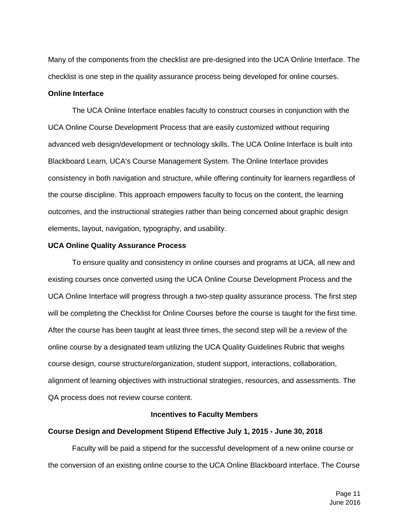Many of the components from the checklist are pre-designed into the UCA Online Interface. The checklist is one step in the quality assurance process being developed for online courses.

#### <span id="page-10-0"></span>**Online Interface**

The UCA Online Interface enables faculty to construct courses in conjunction with the UCA Online Course Development Process that are easily customized without requiring advanced web design/development or technology skills. The UCA Online Interface is built into Blackboard Learn, UCA's Course Management System. The Online Interface provides consistency in both navigation and structure, while offering continuity for learners regardless of the course discipline. This approach empowers faculty to focus on the content, the learning outcomes, and the instructional strategies rather than being concerned about graphic design elements, layout, navigation, typography, and usability.

#### <span id="page-10-1"></span>**UCA Online Quality Assurance Process**

To ensure quality and consistency in online courses and programs at UCA, all new and existing courses once converted using the UCA Online Course Development Process and the UCA Online Interface will progress through a two-step quality assurance process. The first step will be completing the Checklist for Online Courses before the course is taught for the first time. After the course has been taught at least three times, the second step will be a review of the online course by a designated team utilizing the UCA Quality Guidelines Rubric that weighs course design, course structure/organization, student support, interactions, collaboration, alignment of learning objectives with instructional strategies, resources, and assessments. The QA process does not review course content.

## **Incentives to Faculty Members**

## <span id="page-10-3"></span><span id="page-10-2"></span>**Course Design and Development Stipend Effective July 1, 2015 - June 30, 2018**

Faculty will be paid a stipend for the successful development of a new online course or the conversion of an existing online course to the UCA Online Blackboard interface. The Course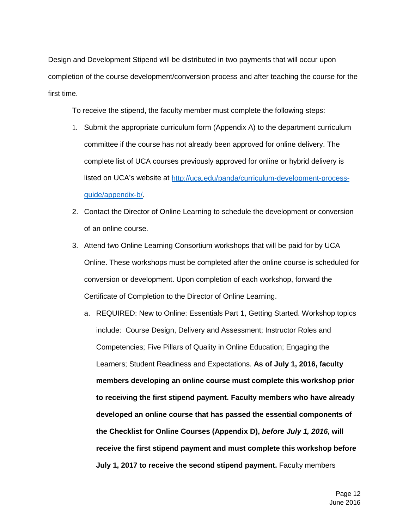Design and Development Stipend will be distributed in two payments that will occur upon completion of the course development/conversion process and after teaching the course for the first time.

To receive the stipend, the faculty member must complete the following steps:

- 1. Submit the appropriate curriculum form [\(Appendix A\)](#page-18-0) to the department curriculum committee if the course has not already been approved for online delivery. The complete list of UCA courses previously approved for online or hybrid delivery is listed on UCA's website at [http://uca.edu/panda/curriculum-development-process](http://uca.edu/panda/curriculum-development-process-guide/appendix-b/)[guide/appendix-b/](http://uca.edu/panda/curriculum-development-process-guide/appendix-b/).
- 2. Contact the Director of Online Learning to schedule the development or conversion of an online course.
- 3. Attend two Online Learning Consortium workshops that will be paid for by UCA Online. These workshops must be completed after the online course is scheduled for conversion or development. Upon completion of each workshop, forward the Certificate of Completion to the Director of Online Learning.
	- a. REQUIRED: New to Online: Essentials Part 1, Getting Started. Workshop topics include: Course Design, Delivery and Assessment; Instructor Roles and Competencies; Five Pillars of Quality in Online Education; Engaging the Learners; Student Readiness and Expectations. **As of July 1, 2016, faculty members developing an online course must complete this workshop prior to receiving the first stipend payment. Faculty members who have already developed an online course that has passed the essential components of the Checklist for Online Courses (Appendix D),** *before July 1, 2016***, will receive the first stipend payment and must complete this workshop before July 1, 2017 to receive the second stipend payment.** Faculty members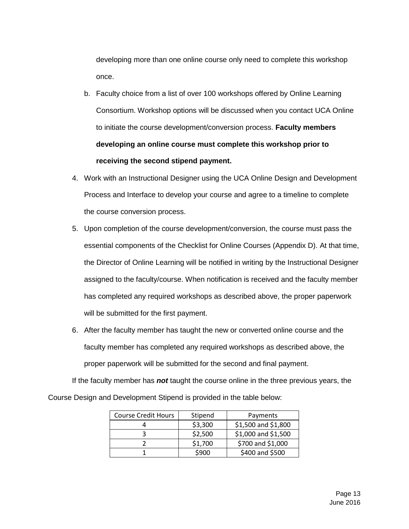developing more than one online course only need to complete this workshop once.

- b. Faculty choice from a list of over 100 workshops offered by Online Learning Consortium. Workshop options will be discussed when you contact UCA Online to initiate the course development/conversion process. **Faculty members developing an online course must complete this workshop prior to receiving the second stipend payment.**
- 4. Work with an Instructional Designer using the UCA Online Design and Development Process and Interface to develop your course and agree to a timeline to complete the course conversion process.
- 5. Upon completion of the course development/conversion, the course must pass the essential components of the Checklist for Online Courses (Appendix D). At that time, the Director of Online Learning will be notified in writing by the Instructional Designer assigned to the faculty/course. When notification is received and the faculty member has completed any required workshops as described above, the proper paperwork will be submitted for the first payment.
- 6. After the faculty member has taught the new or converted online course and the faculty member has completed any required workshops as described above, the proper paperwork will be submitted for the second and final payment.

If the faculty member has *not* taught the course online in the three previous years, the Course Design and Development Stipend is provided in the table below:

| <b>Course Credit Hours</b> | Stipend | Payments            |
|----------------------------|---------|---------------------|
|                            | \$3,300 | \$1,500 and \$1,800 |
|                            | \$2,500 | \$1,000 and \$1,500 |
|                            | \$1,700 | \$700 and \$1,000   |
|                            | \$900   | \$400 and \$500     |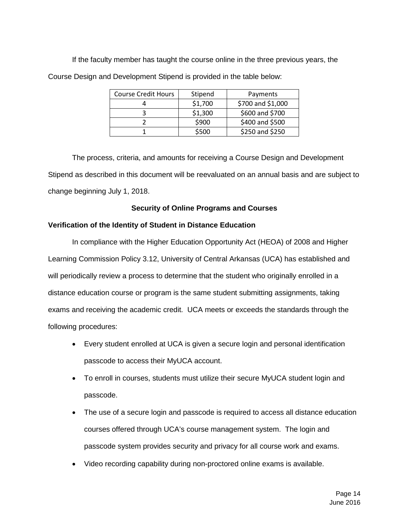If the faculty member has taught the course online in the three previous years, the Course Design and Development Stipend is provided in the table below:

| <b>Course Credit Hours</b> | Stipend | Payments          |
|----------------------------|---------|-------------------|
|                            | \$1,700 | \$700 and \$1,000 |
|                            | \$1,300 | \$600 and \$700   |
|                            | \$900   | \$400 and \$500   |
|                            | \$500   | \$250 and \$250   |

The process, criteria, and amounts for receiving a Course Design and Development Stipend as described in this document will be reevaluated on an annual basis and are subject to change beginning July 1, 2018.

## <span id="page-13-0"></span>**Security of Online Programs and Courses**

## <span id="page-13-1"></span>**Verification of the Identity of Student in Distance Education**

In compliance with the Higher Education Opportunity Act (HEOA) of 2008 and Higher Learning Commission Policy 3.12, University of Central Arkansas (UCA) has established and will periodically review a process to determine that the student who originally enrolled in a distance education course or program is the same student submitting assignments, taking exams and receiving the academic credit. UCA meets or exceeds the standards through the following procedures:

- Every student enrolled at UCA is given a secure login and personal identification passcode to access their MyUCA account.
- To enroll in courses, students must utilize their secure MyUCA student login and passcode.
- The use of a secure login and passcode is required to access all distance education courses offered through UCA's course management system. The login and passcode system provides security and privacy for all course work and exams.
- Video recording capability during non-proctored online exams is available.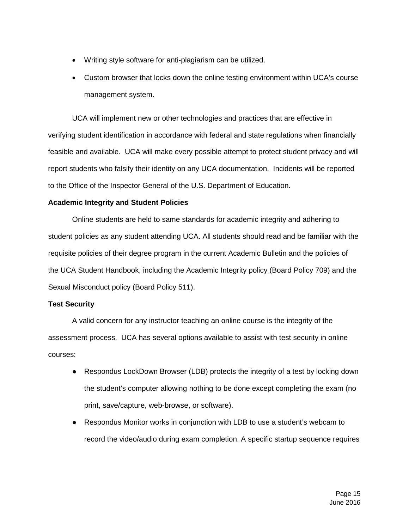- Writing style software for anti-plagiarism can be utilized.
- Custom browser that locks down the online testing environment within UCA's course management system.

UCA will implement new or other technologies and practices that are effective in verifying student identification in accordance with federal and state regulations when financially feasible and available. UCA will make every possible attempt to protect student privacy and will report students who falsify their identity on any UCA documentation. Incidents will be reported to the Office of the Inspector General of the U.S. Department of Education.

## <span id="page-14-0"></span>**Academic Integrity and Student Policies**

Online students are held to same standards for academic integrity and adhering to student policies as any student attending UCA. All students should read and be familiar with the requisite policies of their degree program in the current Academic Bulletin and the policies of the UCA Student Handbook, including the Academic Integrity policy (Board Policy 709) and the Sexual Misconduct policy (Board Policy 511).

## **Test Security**

A valid concern for any instructor teaching an online course is the integrity of the assessment process. UCA has several options available to assist with test security in online courses:

- Respondus LockDown Browser (LDB) protects the integrity of a test by locking down the student's computer allowing nothing to be done except completing the exam (no print, save/capture, web-browse, or software).
- Respondus Monitor works in conjunction with LDB to use a student's webcam to record the video/audio during exam completion. A specific startup sequence requires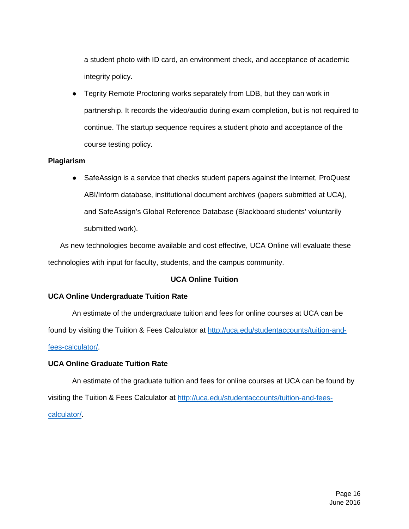a student photo with ID card, an environment check, and acceptance of academic integrity policy.

● Tegrity Remote Proctoring works separately from LDB, but they can work in partnership. It records the video/audio during exam completion, but is not required to continue. The startup sequence requires a student photo and acceptance of the course testing policy.

## <span id="page-15-0"></span>**Plagiarism**

• SafeAssign is a service that checks student papers against the Internet, ProQuest ABI/Inform database, institutional document archives (papers submitted at UCA), and SafeAssign's Global Reference Database (Blackboard students' voluntarily submitted work).

As new technologies become available and cost effective, UCA Online will evaluate these technologies with input for faculty, students, and the campus community.

## **UCA Online Tuition**

## <span id="page-15-2"></span><span id="page-15-1"></span>**UCA Online Undergraduate Tuition Rate**

An estimate of the undergraduate tuition and fees for online courses at UCA can be

found by visiting the Tuition & Fees Calculator at [http://uca.edu/studentaccounts/tuition-and-](http://uca.edu/studentaccounts/tuition-and-fees-calculator/)

#### [fees-calculator/.](http://uca.edu/studentaccounts/tuition-and-fees-calculator/)

#### <span id="page-15-3"></span>**UCA Online Graduate Tuition Rate**

<span id="page-15-4"></span>An estimate of the graduate tuition and fees for online courses at UCA can be found by visiting the Tuition & Fees Calculator at [http://uca.edu/studentaccounts/tuition-and-fees](http://uca.edu/studentaccounts/tuition-and-fees-calculator/)[calculator/.](http://uca.edu/studentaccounts/tuition-and-fees-calculator/)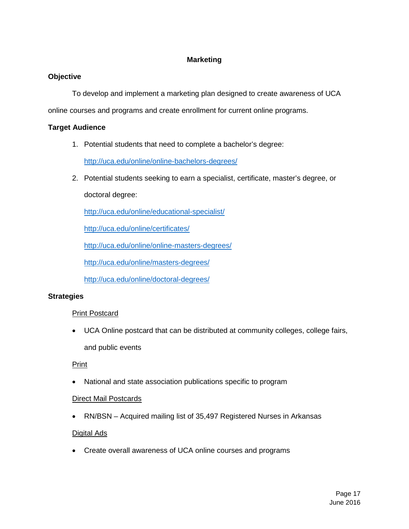## **Marketing**

## <span id="page-16-0"></span>**Objective**

To develop and implement a marketing plan designed to create awareness of UCA

online courses and programs and create enrollment for current online programs.

## <span id="page-16-1"></span>**Target Audience**

1. Potential students that need to complete a bachelor's degree:

<http://uca.edu/online/online-bachelors-degrees/>

2. Potential students seeking to earn a specialist, certificate, master's degree, or

doctoral degree:

<http://uca.edu/online/educational-specialist/>

<http://uca.edu/online/certificates/>

<http://uca.edu/online/online-masters-degrees/>

<http://uca.edu/online/masters-degrees/>

<http://uca.edu/online/doctoral-degrees/>

## <span id="page-16-2"></span>**Strategies**

## Print Postcard

• UCA Online postcard that can be distributed at community colleges, college fairs, and public events

## Print

• National and state association publications specific to program

## Direct Mail Postcards

• RN/BSN – Acquired mailing list of 35,497 Registered Nurses in Arkansas

## Digital Ads

• Create overall awareness of UCA online courses and programs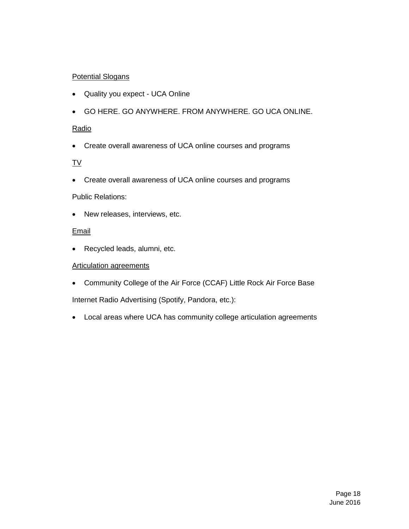# Potential Slogans

- Quality you expect UCA Online
- GO HERE. GO ANYWHERE. FROM ANYWHERE. GO UCA ONLINE.

## Radio

• Create overall awareness of UCA online courses and programs

# TV

• Create overall awareness of UCA online courses and programs

## Public Relations:

• New releases, interviews, etc.

## **Email**

• Recycled leads, alumni, etc.

## Articulation agreements

• Community College of the Air Force (CCAF) Little Rock Air Force Base

Internet Radio Advertising (Spotify, Pandora, etc.):

• Local areas where UCA has community college articulation agreements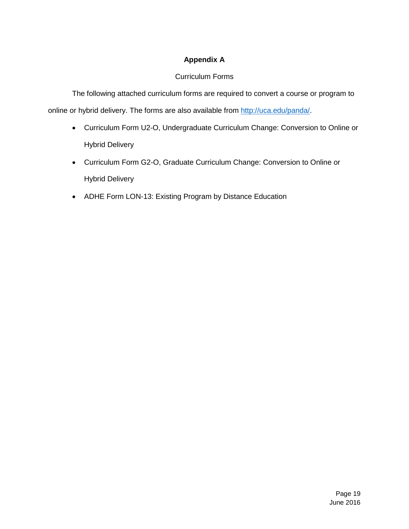# **Appendix A**

# Curriculum Forms

<span id="page-18-0"></span>The following attached curriculum forms are required to convert a course or program to online or hybrid delivery. The forms are also available from [http://uca.edu/panda/.](http://uca.edu/panda/)

- Curriculum Form U2-O, Undergraduate Curriculum Change: Conversion to Online or Hybrid Delivery
- Curriculum Form G2-O, Graduate Curriculum Change: Conversion to Online or Hybrid Delivery
- ADHE Form LON-13: Existing Program by Distance Education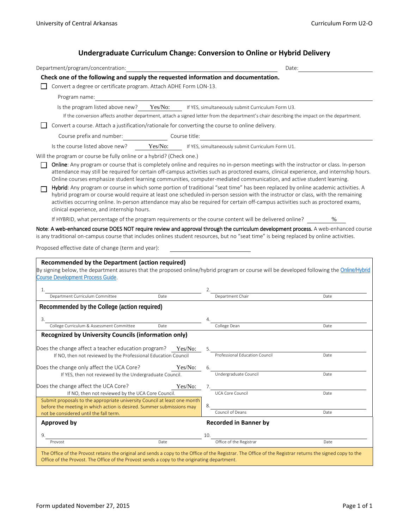# **Undergraduate Curriculum Change: Conversion to Online or Hybrid Delivery**

| Department/program/concentration:                                                                                                                                                                                                                                                                                                                                               |                                         | Date:                                                                                                                                                                                                                                                                                                                                                                                                                                                                                                                                            |      |
|---------------------------------------------------------------------------------------------------------------------------------------------------------------------------------------------------------------------------------------------------------------------------------------------------------------------------------------------------------------------------------|-----------------------------------------|--------------------------------------------------------------------------------------------------------------------------------------------------------------------------------------------------------------------------------------------------------------------------------------------------------------------------------------------------------------------------------------------------------------------------------------------------------------------------------------------------------------------------------------------------|------|
| Check one of the following and supply the requested information and documentation.                                                                                                                                                                                                                                                                                              |                                         |                                                                                                                                                                                                                                                                                                                                                                                                                                                                                                                                                  |      |
| Convert a degree or certificate program. Attach ADHE Form LON-13.                                                                                                                                                                                                                                                                                                               |                                         |                                                                                                                                                                                                                                                                                                                                                                                                                                                                                                                                                  |      |
| Program name:                                                                                                                                                                                                                                                                                                                                                                   |                                         |                                                                                                                                                                                                                                                                                                                                                                                                                                                                                                                                                  |      |
|                                                                                                                                                                                                                                                                                                                                                                                 |                                         | Is the program listed above new? Yes/No: If YES, simultaneously submit Curriculum Form U3.                                                                                                                                                                                                                                                                                                                                                                                                                                                       |      |
|                                                                                                                                                                                                                                                                                                                                                                                 |                                         | If the conversion affects another department, attach a signed letter from the department's chair describing the impact on the department.                                                                                                                                                                                                                                                                                                                                                                                                        |      |
|                                                                                                                                                                                                                                                                                                                                                                                 |                                         | Convert a course. Attach a justification/rationale for converting the course to online delivery.                                                                                                                                                                                                                                                                                                                                                                                                                                                 |      |
|                                                                                                                                                                                                                                                                                                                                                                                 | Course prefix and number: Course title: |                                                                                                                                                                                                                                                                                                                                                                                                                                                                                                                                                  |      |
| Is the course listed above new?                                                                                                                                                                                                                                                                                                                                                 |                                         | Yes/No: If YES, simultaneously submit Curriculum Form U1.                                                                                                                                                                                                                                                                                                                                                                                                                                                                                        |      |
| Will the program or course be fully online or a hybrid? (Check one.)                                                                                                                                                                                                                                                                                                            |                                         |                                                                                                                                                                                                                                                                                                                                                                                                                                                                                                                                                  |      |
|                                                                                                                                                                                                                                                                                                                                                                                 |                                         | <b>Online:</b> Any program or course that is completely online and requires no in-person meetings with the instructor or class. In-person<br>attendance may still be required for certain off-campus activities such as proctored exams, clinical experience, and internship hours.<br>Online courses emphasize student learning communities, computer-mediated communication, and active student learning.<br>Hybrid: Any program or course in which some portion of traditional "seat time" has been replaced by online academic activities. A |      |
| clinical experience, and internship hours.                                                                                                                                                                                                                                                                                                                                      |                                         | hybrid program or course would require at least one scheduled in-person session with the instructor or class, with the remaining<br>activities occurring online. In-person attendance may also be required for certain off-campus activities such as proctored exams,                                                                                                                                                                                                                                                                            |      |
|                                                                                                                                                                                                                                                                                                                                                                                 |                                         | If HYBRID, what percentage of the program requirements or the course content will be delivered online?                                                                                                                                                                                                                                                                                                                                                                                                                                           | %    |
|                                                                                                                                                                                                                                                                                                                                                                                 |                                         |                                                                                                                                                                                                                                                                                                                                                                                                                                                                                                                                                  |      |
| Recommended by the Department (action required)                                                                                                                                                                                                                                                                                                                                 |                                         | is any traditional on-campus course that includes onlines student resources, but no "seat time" is being replaced by online activities.<br>By signing below, the department assures that the proposed online/hybrid program or course will be developed following the Online/Hybrid                                                                                                                                                                                                                                                              |      |
| 1.                                                                                                                                                                                                                                                                                                                                                                              |                                         |                                                                                                                                                                                                                                                                                                                                                                                                                                                                                                                                                  |      |
| Department Curriculum Committee                                                                                                                                                                                                                                                                                                                                                 | Date                                    | Department Chair                                                                                                                                                                                                                                                                                                                                                                                                                                                                                                                                 | Date |
| Recommended by the College (action required)                                                                                                                                                                                                                                                                                                                                    |                                         |                                                                                                                                                                                                                                                                                                                                                                                                                                                                                                                                                  |      |
| 3.                                                                                                                                                                                                                                                                                                                                                                              |                                         |                                                                                                                                                                                                                                                                                                                                                                                                                                                                                                                                                  |      |
| College Curriculum & Assessment Committee                                                                                                                                                                                                                                                                                                                                       | Date                                    | College Dean                                                                                                                                                                                                                                                                                                                                                                                                                                                                                                                                     | Date |
| Recognized by University Councils (information only)<br>If NO, then not reviewed by the Professional Education Council                                                                                                                                                                                                                                                          | Yes/No:                                 | 5.<br>Professional Education Council                                                                                                                                                                                                                                                                                                                                                                                                                                                                                                             | Date |
|                                                                                                                                                                                                                                                                                                                                                                                 |                                         | 6.                                                                                                                                                                                                                                                                                                                                                                                                                                                                                                                                               |      |
| If YES, then not reviewed by the Undergraduate Council.                                                                                                                                                                                                                                                                                                                         | Yes/No:                                 | Undergraduate Council                                                                                                                                                                                                                                                                                                                                                                                                                                                                                                                            | Date |
|                                                                                                                                                                                                                                                                                                                                                                                 | Yes/No:                                 | 7.                                                                                                                                                                                                                                                                                                                                                                                                                                                                                                                                               |      |
| If NO, then not reviewed by the UCA Core Council.                                                                                                                                                                                                                                                                                                                               |                                         | UCA Core Council                                                                                                                                                                                                                                                                                                                                                                                                                                                                                                                                 | Date |
| Submit proposals to the appropriate university Council at least one month                                                                                                                                                                                                                                                                                                       |                                         | 8.                                                                                                                                                                                                                                                                                                                                                                                                                                                                                                                                               |      |
| before the meeting in which action is desired. Summer submissions may<br>not be considered until the fall term.                                                                                                                                                                                                                                                                 |                                         | Council of Deans                                                                                                                                                                                                                                                                                                                                                                                                                                                                                                                                 | Date |
| <b>Approved by</b>                                                                                                                                                                                                                                                                                                                                                              |                                         | <b>Recorded in Banner by</b>                                                                                                                                                                                                                                                                                                                                                                                                                                                                                                                     |      |
| Note: A web-enhanced course DOES NOT require review and approval through the curriculum development process. A web-enhanced course<br>Proposed effective date of change (term and year):<br>Course Development Process Guide.<br>Does the change affect a teacher education program?<br>Does the change only affect the UCA Core?<br>Does the change affect the UCA Core?<br>9. |                                         | 10.                                                                                                                                                                                                                                                                                                                                                                                                                                                                                                                                              |      |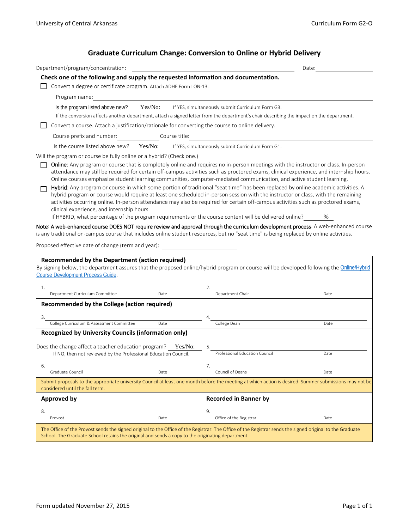# **Graduate Curriculum Change: Conversion to Online or Hybrid Delivery**

| Department/program/concentration:                                                                                                                                                                                                                                                                                                                                                                                                                                                                                                                                                                                                                                                                                                                                                                                                                                       |      |                                                                                                                                           | Date: |
|-------------------------------------------------------------------------------------------------------------------------------------------------------------------------------------------------------------------------------------------------------------------------------------------------------------------------------------------------------------------------------------------------------------------------------------------------------------------------------------------------------------------------------------------------------------------------------------------------------------------------------------------------------------------------------------------------------------------------------------------------------------------------------------------------------------------------------------------------------------------------|------|-------------------------------------------------------------------------------------------------------------------------------------------|-------|
| Check one of the following and supply the requested information and documentation.                                                                                                                                                                                                                                                                                                                                                                                                                                                                                                                                                                                                                                                                                                                                                                                      |      |                                                                                                                                           |       |
| Convert a degree or certificate program. Attach ADHE Form LON-13.                                                                                                                                                                                                                                                                                                                                                                                                                                                                                                                                                                                                                                                                                                                                                                                                       |      |                                                                                                                                           |       |
| Program name:                                                                                                                                                                                                                                                                                                                                                                                                                                                                                                                                                                                                                                                                                                                                                                                                                                                           |      |                                                                                                                                           |       |
| Is the program listed above new? Yes/No: If YES, simultaneously submit Curriculum Form G3.                                                                                                                                                                                                                                                                                                                                                                                                                                                                                                                                                                                                                                                                                                                                                                              |      |                                                                                                                                           |       |
|                                                                                                                                                                                                                                                                                                                                                                                                                                                                                                                                                                                                                                                                                                                                                                                                                                                                         |      | If the conversion affects another department, attach a signed letter from the department's chair describing the impact on the department. |       |
| Convert a course. Attach a justification/rationale for converting the course to online delivery.                                                                                                                                                                                                                                                                                                                                                                                                                                                                                                                                                                                                                                                                                                                                                                        |      |                                                                                                                                           |       |
| Course prefix and number: Course title:                                                                                                                                                                                                                                                                                                                                                                                                                                                                                                                                                                                                                                                                                                                                                                                                                                 |      |                                                                                                                                           |       |
| Is the course listed above new? Yes/No: If YES, simultaneously submit Curriculum Form G1.                                                                                                                                                                                                                                                                                                                                                                                                                                                                                                                                                                                                                                                                                                                                                                               |      |                                                                                                                                           |       |
| Will the program or course be fully online or a hybrid? (Check one.)                                                                                                                                                                                                                                                                                                                                                                                                                                                                                                                                                                                                                                                                                                                                                                                                    |      |                                                                                                                                           |       |
| <b>Online:</b> Any program or course that is completely online and requires no in-person meetings with the instructor or class. In-person<br>attendance may still be required for certain off-campus activities such as proctored exams, clinical experience, and internship hours.<br>Online courses emphasize student learning communities, computer-mediated communication, and active student learning.<br>Hybrid: Any program or course in which some portion of traditional "seat time" has been replaced by online academic activities. A<br>hybrid program or course would require at least one scheduled in-person session with the instructor or class, with the remaining<br>activities occurring online. In-person attendance may also be required for certain off-campus activities such as proctored exams,<br>clinical experience, and internship hours. |      |                                                                                                                                           | $\%$  |
| If HYBRID, what percentage of the program requirements or the course content will be delivered online?<br>Recommended by the Department (action required)                                                                                                                                                                                                                                                                                                                                                                                                                                                                                                                                                                                                                                                                                                               |      |                                                                                                                                           |       |
| Note: A web-enhanced course DOES NOT require review and approval through the curriculum development process. A web-enhanced course<br>is any traditional on-campus course that includes online student resources, but no "seat time" is being replaced by online activities.<br>Proposed effective date of change (term and year):<br>By signing below, the department assures that the proposed online/hybrid program or course will be developed following the Online/Hybrid                                                                                                                                                                                                                                                                                                                                                                                          |      |                                                                                                                                           |       |
| <b>Course Development Process Guide.</b>                                                                                                                                                                                                                                                                                                                                                                                                                                                                                                                                                                                                                                                                                                                                                                                                                                |      |                                                                                                                                           |       |
| 1.<br>Department Curriculum Committee                                                                                                                                                                                                                                                                                                                                                                                                                                                                                                                                                                                                                                                                                                                                                                                                                                   | Date | Department Chair                                                                                                                          | Date  |
| Recommended by the College (action required)<br>3.<br>College Curriculum & Assessment Committee                                                                                                                                                                                                                                                                                                                                                                                                                                                                                                                                                                                                                                                                                                                                                                         | Date | College Dean                                                                                                                              | Date  |
| <b>Recognized by University Councils (information only)</b>                                                                                                                                                                                                                                                                                                                                                                                                                                                                                                                                                                                                                                                                                                                                                                                                             |      |                                                                                                                                           |       |
| Does the change affect a teacher education program? Yes/No:                                                                                                                                                                                                                                                                                                                                                                                                                                                                                                                                                                                                                                                                                                                                                                                                             |      |                                                                                                                                           |       |
| If NO, then not reviewed by the Professional Education Council.                                                                                                                                                                                                                                                                                                                                                                                                                                                                                                                                                                                                                                                                                                                                                                                                         |      | Professional Education Council                                                                                                            | Date  |
| 6.                                                                                                                                                                                                                                                                                                                                                                                                                                                                                                                                                                                                                                                                                                                                                                                                                                                                      |      | 7.                                                                                                                                        |       |
| Graduate Council                                                                                                                                                                                                                                                                                                                                                                                                                                                                                                                                                                                                                                                                                                                                                                                                                                                        | Date | Council of Deans                                                                                                                          | Date  |
| Submit proposals to the appropriate university Council at least one month before the meeting at which action is desired. Summer submissions may not be<br>considered until the fall term.                                                                                                                                                                                                                                                                                                                                                                                                                                                                                                                                                                                                                                                                               |      |                                                                                                                                           |       |
| Approved by                                                                                                                                                                                                                                                                                                                                                                                                                                                                                                                                                                                                                                                                                                                                                                                                                                                             |      | <b>Recorded in Banner by</b>                                                                                                              |       |
| 8.                                                                                                                                                                                                                                                                                                                                                                                                                                                                                                                                                                                                                                                                                                                                                                                                                                                                      |      | 9.                                                                                                                                        |       |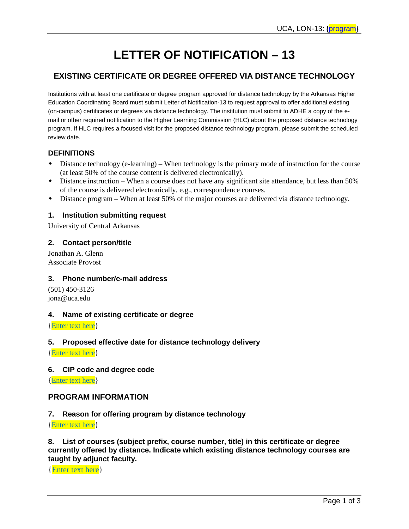# **LETTER OF NOTIFICATION – 13**

# **EXISTING CERTIFICATE OR DEGREE OFFERED VIA DISTANCE TECHNOLOGY**

Institutions with at least one certificate or degree program approved for distance technology by the Arkansas Higher Education Coordinating Board must submit Letter of Notification-13 to request approval to offer additional existing (on-campus) certificates or degrees via distance technology. The institution must submit to ADHE a copy of the email or other required notification to the Higher Learning Commission (HLC) about the proposed distance technology program. If HLC requires a focused visit for the proposed distance technology program, please submit the scheduled review date.

## **DEFINITIONS**

- Distance technology (e-learning) When technology is the primary mode of instruction for the course (at least 50% of the course content is delivered electronically).
- Distance instruction When a course does not have any significant site attendance, but less than 50% of the course is delivered electronically, e.g., correspondence courses.
- Distance program When at least 50% of the major courses are delivered via distance technology.

## **1. Institution submitting request**

University of Central Arkansas

## **2. Contact person/title**

Jonathan A. Glenn Associate Provost

#### **3. Phone number/e-mail address**

(501) 450-3126 jona@uca.edu

#### **4. Name of existing certificate or degree**

{Enter text here}

#### **5. Proposed effective date for distance technology delivery**

{Enter text here}

#### **6. CIP code and degree code**

{Enter text here}

## **PROGRAM INFORMATION**

#### **7. Reason for offering program by distance technology**

{Enter text here}

**8. List of courses (subject prefix, course number, title) in this certificate or degree currently offered by distance. Indicate which existing distance technology courses are taught by adjunct faculty.**

{Enter text here}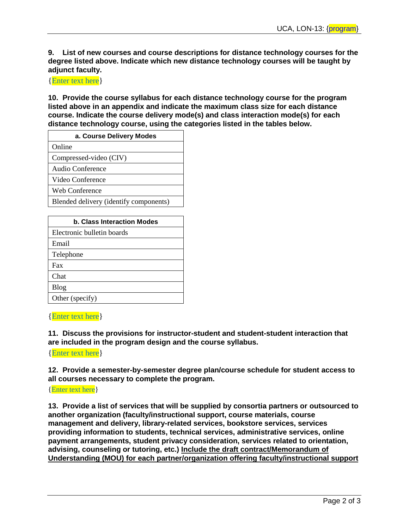**9. List of new courses and course descriptions for distance technology courses for the degree listed above. Indicate which new distance technology courses will be taught by adjunct faculty.**

{Enter text here}

**10. Provide the course syllabus for each distance technology course for the program listed above in an appendix and indicate the maximum class size for each distance course. Indicate the course delivery mode(s) and class interaction mode(s) for each distance technology course, using the categories listed in the tables below.**

| a. Course Delivery Modes               |  |  |  |
|----------------------------------------|--|--|--|
| Online                                 |  |  |  |
| Compressed-video (CIV)                 |  |  |  |
| Audio Conference                       |  |  |  |
| Video Conference                       |  |  |  |
| Web Conference                         |  |  |  |
| Blended delivery (identify components) |  |  |  |

| b. Class Interaction Modes |  |  |  |
|----------------------------|--|--|--|
| Electronic bulletin boards |  |  |  |
| Email                      |  |  |  |
| Telephone                  |  |  |  |
| Fax                        |  |  |  |
| Chat                       |  |  |  |
| <b>Blog</b>                |  |  |  |
| Other (specify)            |  |  |  |

{Enter text here}

**11. Discuss the provisions for instructor-student and student-student interaction that are included in the program design and the course syllabus.**

{Enter text here}

**12. Provide a semester-by-semester degree plan/course schedule for student access to all courses necessary to complete the program.**

{Enter text here}

**13. Provide a list of services that will be supplied by consortia partners or outsourced to another organization (faculty/instructional support, course materials, course management and delivery, library-related services, bookstore services, services providing information to students, technical services, administrative services, online payment arrangements, student privacy consideration, services related to orientation, advising, counseling or tutoring, etc.) Include the draft contract/Memorandum of Understanding (MOU) for each partner/organization offering faculty/instructional support**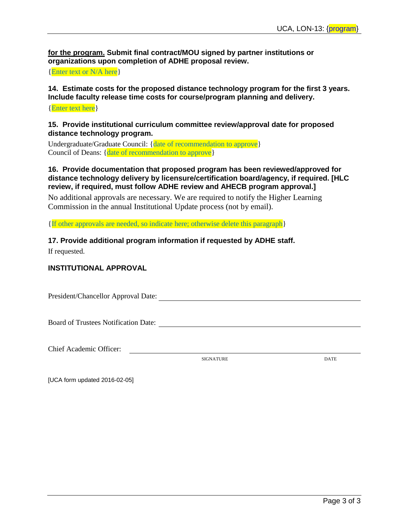**for the program. Submit final contract/MOU signed by partner institutions or organizations upon completion of ADHE proposal review.**

{Enter text or N/A here}

# **14. Estimate costs for the proposed distance technology program for the first 3 years. Include faculty release time costs for course/program planning and delivery.**

{Enter text here}

## **15. Provide institutional curriculum committee review/approval date for proposed distance technology program.**

Undergraduate/Graduate Council: {date of recommendation to approve} Council of Deans: {date of recommendation to approve}

## **16. Provide documentation that proposed program has been reviewed/approved for distance technology delivery by licensure/certification board/agency, if required. [HLC review, if required, must follow ADHE review and AHECB program approval.]**

No additional approvals are necessary. We are required to notify the Higher Learning Commission in the annual Institutional Update process (not by email).

{If other approvals are needed, so indicate here; otherwise delete this paragraph}

**17. Provide additional program information if requested by ADHE staff.**

If requested.

## **INSTITUTIONAL APPROVAL**

President/Chancellor Approval Date:

Board of Trustees Notification Date:

Chief Academic Officer:

SIGNATURE DATE

[UCA form updated 2016-02-05]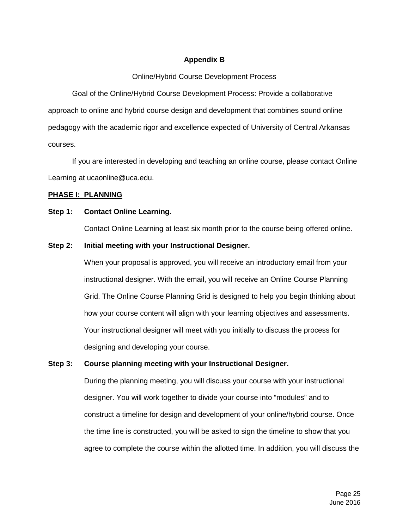## **Appendix B**

## Online/Hybrid Course Development Process

Goal of the Online/Hybrid Course Development Process: Provide a collaborative approach to online and hybrid course design and development that combines sound online pedagogy with the academic rigor and excellence expected of University of Central Arkansas courses.

If you are interested in developing and teaching an online course, please contact Online Learning at ucaonline@uca.edu.

## **PHASE I: PLANNING**

## **Step 1: Contact Online Learning.**

Contact Online Learning at least six month prior to the course being offered online.

## **Step 2: Initial meeting with your Instructional Designer.**

When your proposal is approved, you will receive an introductory email from your instructional designer. With the email, you will receive an Online Course Planning Grid. The Online Course Planning Grid is designed to help you begin thinking about how your course content will align with your learning objectives and assessments. Your instructional designer will meet with you initially to discuss the process for designing and developing your course.

## **Step 3: Course planning meeting with your Instructional Designer.**

During the planning meeting, you will discuss your course with your instructional designer. You will work together to divide your course into "modules" and to construct a timeline for design and development of your online/hybrid course. Once the time line is constructed, you will be asked to sign the timeline to show that you agree to complete the course within the allotted time. In addition, you will discuss the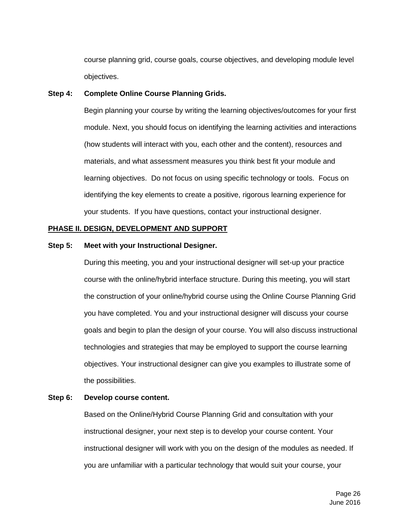course planning grid, course goals, course objectives, and developing module level objectives.

#### **Step 4: Complete Online Course Planning Grids.**

Begin planning your course by writing the learning objectives/outcomes for your first module. Next, you should focus on identifying the learning activities and interactions (how students will interact with you, each other and the content), resources and materials, and what assessment measures you think best fit your module and learning objectives. Do not focus on using specific technology or tools. Focus on identifying the key elements to create a positive, rigorous learning experience for your students. If you have questions, contact your instructional designer.

#### **PHASE II. DESIGN, DEVELOPMENT AND SUPPORT**

## **Step 5: Meet with your Instructional Designer.**

During this meeting, you and your instructional designer will set-up your practice course with the online/hybrid interface structure. During this meeting, you will start the construction of your online/hybrid course using the Online Course Planning Grid you have completed. You and your instructional designer will discuss your course goals and begin to plan the design of your course. You will also discuss instructional technologies and strategies that may be employed to support the course learning objectives. Your instructional designer can give you examples to illustrate some of the possibilities.

#### **Step 6: Develop course content.**

Based on the Online/Hybrid Course Planning Grid and consultation with your instructional designer, your next step is to develop your course content. Your instructional designer will work with you on the design of the modules as needed. If you are unfamiliar with a particular technology that would suit your course, your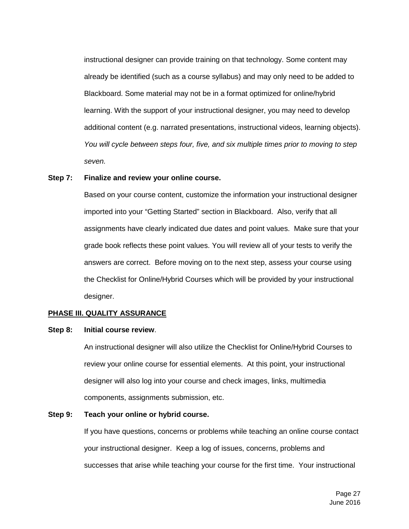instructional designer can provide training on that technology. Some content may already be identified (such as a course syllabus) and may only need to be added to Blackboard. Some material may not be in a format optimized for online/hybrid learning. With the support of your instructional designer, you may need to develop additional content (e.g. narrated presentations, instructional videos, learning objects). *You will cycle between steps four, five, and six multiple times prior to moving to step seven.*

#### **Step 7: Finalize and review your online course.**

Based on your course content, customize the information your instructional designer imported into your "Getting Started" section in Blackboard. Also, verify that all assignments have clearly indicated due dates and point values. Make sure that your grade book reflects these point values. You will review all of your tests to verify the answers are correct. Before moving on to the next step, assess your course using the Checklist for Online/Hybrid Courses which will be provided by your instructional designer.

#### **PHASE III. QUALITY ASSURANCE**

#### **Step 8: Initial course review**.

An instructional designer will also utilize the Checklist for Online/Hybrid Courses to review your online course for essential elements. At this point, your instructional designer will also log into your course and check images, links, multimedia components, assignments submission, etc.

#### **Step 9: Teach your online or hybrid course.**

If you have questions, concerns or problems while teaching an online course contact your instructional designer. Keep a log of issues, concerns, problems and successes that arise while teaching your course for the first time. Your instructional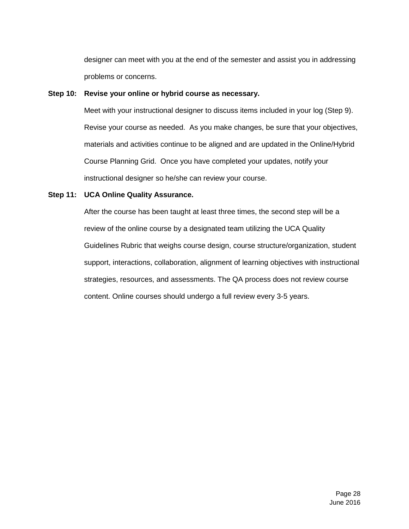designer can meet with you at the end of the semester and assist you in addressing problems or concerns.

## **Step 10: Revise your online or hybrid course as necessary.**

Meet with your instructional designer to discuss items included in your log (Step 9). Revise your course as needed. As you make changes, be sure that your objectives, materials and activities continue to be aligned and are updated in the Online/Hybrid Course Planning Grid. Once you have completed your updates, notify your instructional designer so he/she can review your course.

## **Step 11: UCA Online Quality Assurance.**

After the course has been taught at least three times, the second step will be a review of the online course by a designated team utilizing the UCA Quality Guidelines Rubric that weighs course design, course structure/organization, student support, interactions, collaboration, alignment of learning objectives with instructional strategies, resources, and assessments. The QA process does not review course content. Online courses should undergo a full review every 3-5 years.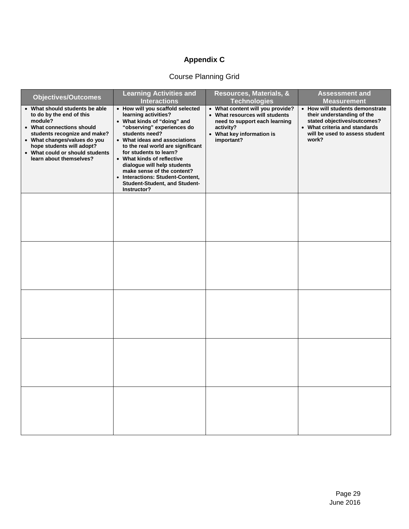# **Appendix C**

# Course Planning Grid

| <b>Objectives/Outcomes</b>                                                                                                                                                                                                                                    | <b>Learning Activities and</b><br><b>Interactions</b>                                                                                                                                                                                                                                                                                                                                                                  | Resources, Materials, &<br><b>Technologies</b>                                                                                                              | <b>Assessment and</b><br><b>Measurement</b>                                                                                                                              |
|---------------------------------------------------------------------------------------------------------------------------------------------------------------------------------------------------------------------------------------------------------------|------------------------------------------------------------------------------------------------------------------------------------------------------------------------------------------------------------------------------------------------------------------------------------------------------------------------------------------------------------------------------------------------------------------------|-------------------------------------------------------------------------------------------------------------------------------------------------------------|--------------------------------------------------------------------------------------------------------------------------------------------------------------------------|
| • What should students be able<br>to do by the end of this<br>module?<br>• What connections should<br>students recognize and make?<br>• What changes/values do you<br>hope students will adopt?<br>• What could or should students<br>learn about themselves? | • How will you scaffold selected<br>learning activities?<br>• What kinds of "doing" and<br>"observing" experiences do<br>students need?<br>• What ideas and associations<br>to the real world are significant<br>for students to learn?<br>• What kinds of reflective<br>dialogue will help students<br>make sense of the content?<br>• Interactions: Student-Content,<br>Student-Student, and Student-<br>Instructor? | • What content will you provide?<br>• What resources will students<br>need to support each learning<br>activity?<br>• What key information is<br>important? | • How will students demonstrate<br>their understanding of the<br>stated objectives/outcomes?<br>• What criteria and standards<br>will be used to assess student<br>work? |
|                                                                                                                                                                                                                                                               |                                                                                                                                                                                                                                                                                                                                                                                                                        |                                                                                                                                                             |                                                                                                                                                                          |
|                                                                                                                                                                                                                                                               |                                                                                                                                                                                                                                                                                                                                                                                                                        |                                                                                                                                                             |                                                                                                                                                                          |
|                                                                                                                                                                                                                                                               |                                                                                                                                                                                                                                                                                                                                                                                                                        |                                                                                                                                                             |                                                                                                                                                                          |
|                                                                                                                                                                                                                                                               |                                                                                                                                                                                                                                                                                                                                                                                                                        |                                                                                                                                                             |                                                                                                                                                                          |
|                                                                                                                                                                                                                                                               |                                                                                                                                                                                                                                                                                                                                                                                                                        |                                                                                                                                                             |                                                                                                                                                                          |
|                                                                                                                                                                                                                                                               |                                                                                                                                                                                                                                                                                                                                                                                                                        |                                                                                                                                                             |                                                                                                                                                                          |
|                                                                                                                                                                                                                                                               |                                                                                                                                                                                                                                                                                                                                                                                                                        |                                                                                                                                                             |                                                                                                                                                                          |
|                                                                                                                                                                                                                                                               |                                                                                                                                                                                                                                                                                                                                                                                                                        |                                                                                                                                                             |                                                                                                                                                                          |
|                                                                                                                                                                                                                                                               |                                                                                                                                                                                                                                                                                                                                                                                                                        |                                                                                                                                                             |                                                                                                                                                                          |
|                                                                                                                                                                                                                                                               |                                                                                                                                                                                                                                                                                                                                                                                                                        |                                                                                                                                                             |                                                                                                                                                                          |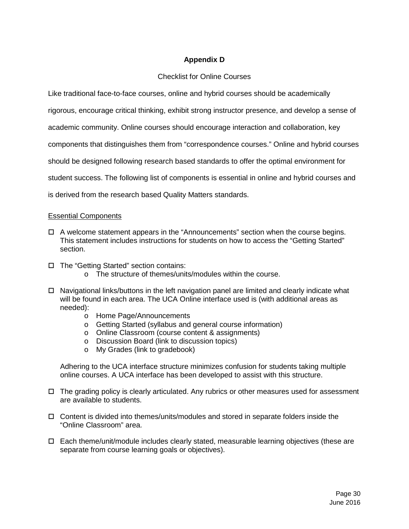## **Appendix D**

## Checklist for Online Courses

Like traditional face-to-face courses, online and hybrid courses should be academically

rigorous, encourage critical thinking, exhibit strong instructor presence, and develop a sense of

academic community. Online courses should encourage interaction and collaboration, key

components that distinguishes them from "correspondence courses." Online and hybrid courses

should be designed following research based standards to offer the optimal environment for

student success. The following list of components is essential in online and hybrid courses and

is derived from the research based Quality Matters standards.

#### Essential Components

- $\Box$  A welcome statement appears in the "Announcements" section when the course begins. This statement includes instructions for students on how to access the "Getting Started" section.
- □ The "Getting Started" section contains:
	- o The structure of themes/units/modules within the course.
- □ Navigational links/buttons in the left navigation panel are limited and clearly indicate what will be found in each area. The UCA Online interface used is (with additional areas as needed):
	- o Home Page/Announcements
	- o Getting Started (syllabus and general course information)
	- o Online Classroom (course content & assignments)
	- o Discussion Board (link to discussion topics)
	- o My Grades (link to gradebook)

Adhering to the UCA interface structure minimizes confusion for students taking multiple online courses. A UCA interface has been developed to assist with this structure.

- $\Box$  The grading policy is clearly articulated. Any rubrics or other measures used for assessment are available to students.
- $\Box$  Content is divided into themes/units/modules and stored in separate folders inside the "Online Classroom" area.
- $\Box$  Each theme/unit/module includes clearly stated, measurable learning objectives (these are separate from course learning goals or objectives).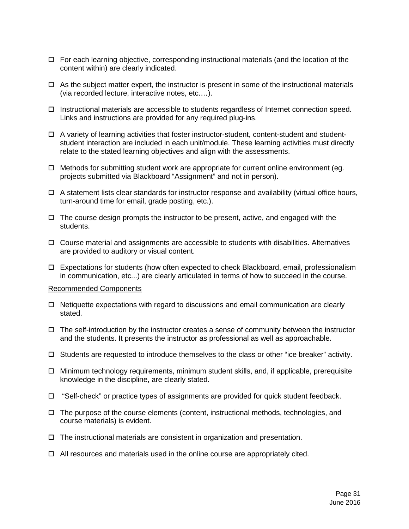- $\Box$  For each learning objective, corresponding instructional materials (and the location of the content within) are clearly indicated.
- $\Box$  As the subject matter expert, the instructor is present in some of the instructional materials (via recorded lecture, interactive notes, etc.…).
- $\Box$  Instructional materials are accessible to students regardless of Internet connection speed. Links and instructions are provided for any required plug-ins.
- $\Box$  A variety of learning activities that foster instructor-student, content-student and studentstudent interaction are included in each unit/module. These learning activities must directly relate to the stated learning objectives and align with the assessments.
- $\Box$  Methods for submitting student work are appropriate for current online environment (eg. projects submitted via Blackboard "Assignment" and not in person).
- $\Box$  A statement lists clear standards for instructor response and availability (virtual office hours, turn-around time for email, grade posting, etc.).
- $\Box$  The course design prompts the instructor to be present, active, and engaged with the students.
- Course material and assignments are accessible to students with disabilities. Alternatives are provided to auditory or visual content.
- $\Box$  Expectations for students (how often expected to check Blackboard, email, professionalism in communication, etc...) are clearly articulated in terms of how to succeed in the course.

#### Recommended Components

- $\Box$  Netiquette expectations with regard to discussions and email communication are clearly stated.
- $\Box$  The self-introduction by the instructor creates a sense of community between the instructor and the students. It presents the instructor as professional as well as approachable.
- $\Box$  Students are requested to introduce themselves to the class or other "ice breaker" activity.
- □ Minimum technology requirements, minimum student skills, and, if applicable, prerequisite knowledge in the discipline, are clearly stated.
- $\Box$  "Self-check" or practice types of assignments are provided for quick student feedback.
- $\Box$  The purpose of the course elements (content, instructional methods, technologies, and course materials) is evident.
- $\Box$  The instructional materials are consistent in organization and presentation.
- $\Box$  All resources and materials used in the online course are appropriately cited.